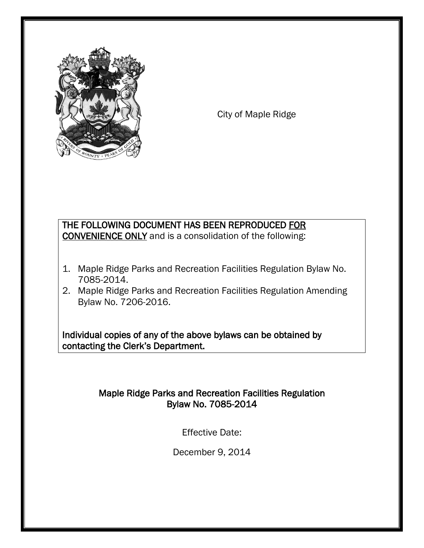

City of Maple Ridge

## THE FOLLOWING DOCUMENT HAS BEEN REPRODUCED FOR CONVENIENCE ONLY and is a consolidation of the following:

- 1. Maple Ridge Parks and Recreation Facilities Regulation Bylaw No. 7085-2014.
- 2. Maple Ridge Parks and Recreation Facilities Regulation Amending Bylaw No. 7206-2016.

Individual copies of any of the above bylaws can be obtained by contacting the Clerk's Department.

## Maple Ridge Parks and Recreation Facilities Regulation Bylaw No. 7085-2014

Effective Date:

December 9, 2014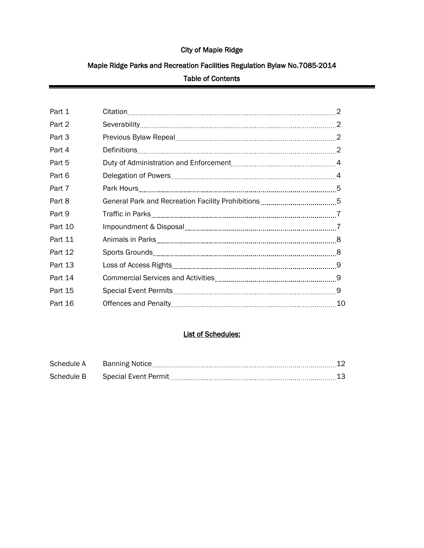## City of Maple Ridge

# Maple Ridge Parks and Recreation Facilities Regulation Bylaw No.7085-2014

## Table of Contents

| Part 1  |                                                                     |    |
|---------|---------------------------------------------------------------------|----|
| Part 2  |                                                                     |    |
| Part 3  |                                                                     |    |
| Part 4  |                                                                     |    |
| Part 5  |                                                                     |    |
| Part 6  |                                                                     |    |
| Part 7  |                                                                     |    |
| Part 8  | General Park and Recreation Facility Prohibitions [11, 2010] 1997-5 |    |
| Part 9  |                                                                     |    |
| Part 10 |                                                                     |    |
| Part 11 |                                                                     |    |
| Part 12 |                                                                     |    |
| Part 13 |                                                                     |    |
| Part 14 |                                                                     |    |
| Part 15 |                                                                     |    |
| Part 16 |                                                                     | 10 |

## List of Schedules:

| Schedule A | <b>Banning Notice</b>       |  |
|------------|-----------------------------|--|
| Schedule B | <b>Special Event Permit</b> |  |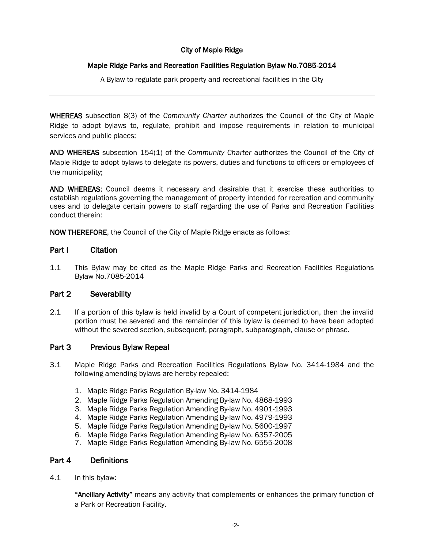## City of Maple Ridge

## Maple Ridge Parks and Recreation Facilities Regulation Bylaw No.7085-2014

A Bylaw to regulate park property and recreational facilities in the City

WHEREAS subsection 8(3) of the *Community Charter* authorizes the Council of the City of Maple Ridge to adopt bylaws to, regulate, prohibit and impose requirements in relation to municipal services and public places;

AND WHEREAS subsection 154(1) of the *Community Charter* authorizes the Council of the City of Maple Ridge to adopt bylaws to delegate its powers, duties and functions to officers or employees of the municipality;

AND WHEREAS; Council deems it necessary and desirable that it exercise these authorities to establish regulations governing the management of property intended for recreation and community uses and to delegate certain powers to staff regarding the use of Parks and Recreation Facilities conduct therein:

NOW THEREFORE, the Council of the City of Maple Ridge enacts as follows:

## Part I Citation

I

1.1 This Bylaw may be cited as the Maple Ridge Parks and Recreation Facilities Regulations Bylaw No.7085-2014

## Part 2 Severability

2.1 If a portion of this bylaw is held invalid by a Court of competent jurisdiction, then the invalid portion must be severed and the remainder of this bylaw is deemed to have been adopted without the severed section, subsequent, paragraph, subparagraph, clause or phrase.

## Part 3 Previous Bylaw Repeal

- 3.1 Maple Ridge Parks and Recreation Facilities Regulations Bylaw No. 3414-1984 and the following amending bylaws are hereby repealed:
	- 1. Maple Ridge Parks Regulation By-law No. 3414-1984
	- 2. Maple Ridge Parks Regulation Amending By-law No. 4868-1993
	- 3. Maple Ridge Parks Regulation Amending By-law No. 4901-1993
	- 4. Maple Ridge Parks Regulation Amending By-law No. 4979-1993
	- 5. Maple Ridge Parks Regulation Amending By-law No. 5600-1997
	- 6. Maple Ridge Parks Regulation Amending By-law No. 6357-2005
	- 7. Maple Ridge Parks Regulation Amending By-law No. 6555-2008

## Part 4 Definitions

4.1 In this bylaw:

"Ancillary Activity" means any activity that complements or enhances the primary function of a Park or Recreation Facility.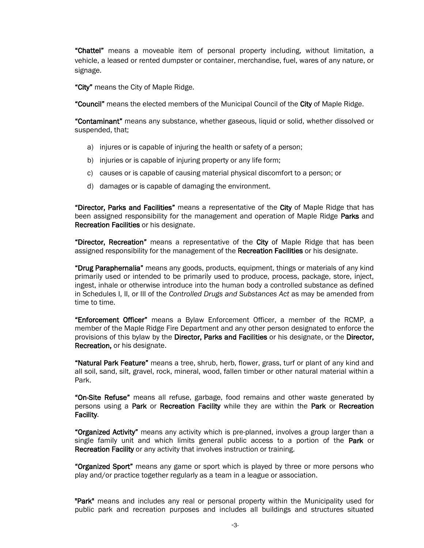"Chattel" means a moveable item of personal property including, without limitation, a vehicle, a leased or rented dumpster or container, merchandise, fuel, wares of any nature, or signage.

"City" means the City of Maple Ridge.

"Council" means the elected members of the Municipal Council of the City of Maple Ridge.

"Contaminant" means any substance, whether gaseous, liquid or solid, whether dissolved or suspended, that;

- a) injures or is capable of injuring the health or safety of a person;
- b) injuries or is capable of injuring property or any life form;
- c) causes or is capable of causing material physical discomfort to a person; or
- d) damages or is capable of damaging the environment.

"Director, Parks and Facilities" means a representative of the City of Maple Ridge that has been assigned responsibility for the management and operation of Maple Ridge Parks and Recreation Facilities or his designate.

"Director, Recreation" means a representative of the City of Maple Ridge that has been assigned responsibility for the management of the Recreation Facilities or his designate.

"Drug Paraphernalia" means any goods, products, equipment, things or materials of any kind primarily used or intended to be primarily used to produce, process, package, store, inject, ingest, inhale or otherwise introduce into the human body a controlled substance as defined in Schedules I, II, or III of the *Controlled Drugs and Substances Act* as may be amended from time to time.

"Enforcement Officer" means a Bylaw Enforcement Officer, a member of the RCMP, a member of the Maple Ridge Fire Department and any other person designated to enforce the provisions of this bylaw by the **Director, Parks and Facilities** or his designate, or the **Director,** Recreation, or his designate.

"Natural Park Feature" means a tree, shrub, herb, flower, grass, turf or plant of any kind and all soil, sand, silt, gravel, rock, mineral, wood, fallen timber or other natural material within a Park.

"On-Site Refuse" means all refuse, garbage, food remains and other waste generated by persons using a Park or Recreation Facility while they are within the Park or Recreation Facility.

"Organized Activity" means any activity which is pre-planned, involves a group larger than a single family unit and which limits general public access to a portion of the **Park** or Recreation Facility or any activity that involves instruction or training.

"Organized Sport" means any game or sport which is played by three or more persons who play and/or practice together regularly as a team in a league or association.

"Park" means and includes any real or personal property within the Municipality used for public park and recreation purposes and includes all buildings and structures situated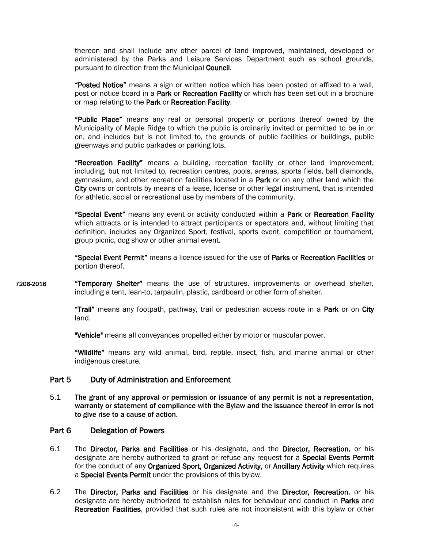thereon and shall include any other parcel of land improved, maintained, developed or administered by the Parks and Leisure Services Department such as school grounds, pursuant to direction from the Municipal Council.

"Posted Notice" means a sign or written notice which has been posted or affixed to a wall, post or notice board in a Park or Recreation Facility or which has been set out in a brochure or map relating to the Park or Recreation Facility.

"Public Place" means any real or personal property or portions thereof owned by the Municipality of Maple Ridge to which the public is ordinarily invited or permitted to be in or on, and includes but is not limited to, the grounds of public facilities or buildings, public greenways and public parkades or parking lots.

"Recreation Facility" means a building, recreation facility or other land improvement, including, but not limited to, recreation centres, pools, arenas, sports fields, ball diamonds, gymnasium, and other recreation facilities located in a **Park** or on any other land which the City owns or controls by means of a lease, license or other legal instrument, that is intended for athletic, social or recreational use by members of the community.

"Special Event" means any event or activity conducted within a Park or Recreation Facility which attracts or is intended to attract participants or spectators and, without limiting that definition, includes any Organized Sport, festival, sports event, competition or tournament, group picnic, dog show or other animal event.

"Special Event Permit" means a licence issued for the use of Parks or Recreation Facilities or portion thereof.

7206-2016 "Temporary Shelter" means the use of structures, improvements or overhead shelter, including a tent, lean-to, tarpaulin, plastic, cardboard or other form of shelter.

> **Trail"** means any footpath, pathway, trail or pedestrian access route in a Park or on City land.

"Vehicle" means all conveyances propelled either by motor or muscular power.

"Wildlife" means any wild animal, bird, reptile, insect, fish, and marine animal or other indigenous creature.

## Part 5 Duty of Administration and Enforcement

5.1 The grant of any approval or permission or issuance of any permit is not a representation, warranty or statement of compliance with the Bylaw and the issuance thereof in error is not to give rise to a cause of action.

## Part 6 Delegation of Powers

- 6.1 The Director, Parks and Facilities or his designate, and the Director, Recreation, or his designate are hereby authorized to grant or refuse any request for a Special Events Permit for the conduct of any Organized Sport, Organized Activity, or Ancillary Activity which requires a Special Events Permit under the provisions of this bylaw.
- 6.2 The Director, Parks and Facilities or his designate and the Director, Recreation, or his designate are hereby authorized to establish rules for behaviour and conduct in Parks and Recreation Facilities, provided that such rules are not inconsistent with this bylaw or other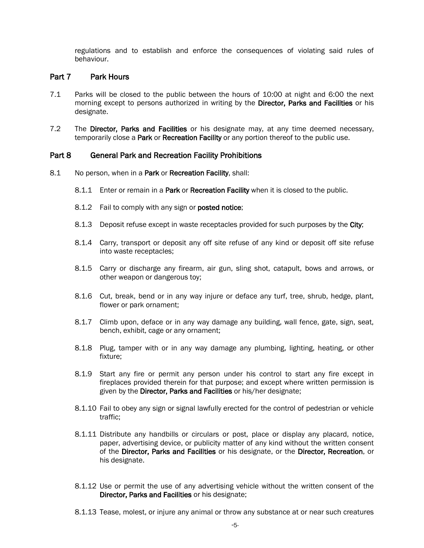regulations and to establish and enforce the consequences of violating said rules of behaviour.

## Part 7 Park Hours

- 7.1 Parks will be closed to the public between the hours of 10:00 at night and 6:00 the next morning except to persons authorized in writing by the Director, Parks and Facilities or his designate.
- 7.2 The Director, Parks and Facilities or his designate may, at any time deemed necessary, temporarily close a Park or Recreation Facility or any portion thereof to the public use.

## Part 8 General Park and Recreation Facility Prohibitions

- 8.1 No person, when in a Park or Recreation Facility, shall:
	- 8.1.1 Enter or remain in a Park or Recreation Facility when it is closed to the public.
	- 8.1.2 Fail to comply with any sign or **posted notice**;
	- 8.1.3 Deposit refuse except in waste receptacles provided for such purposes by the City;
	- 8.1.4 Carry, transport or deposit any off site refuse of any kind or deposit off site refuse into waste receptacles;
	- 8.1.5 Carry or discharge any firearm, air gun, sling shot, catapult, bows and arrows, or other weapon or dangerous toy;
	- 8.1.6 Cut, break, bend or in any way injure or deface any turf, tree, shrub, hedge, plant, flower or park ornament;
	- 8.1.7 Climb upon, deface or in any way damage any building, wall fence, gate, sign, seat, bench, exhibit, cage or any ornament;
	- 8.1.8 Plug, tamper with or in any way damage any plumbing, lighting, heating, or other fixture;
	- 8.1.9 Start any fire or permit any person under his control to start any fire except in fireplaces provided therein for that purpose; and except where written permission is given by the Director, Parks and Facilities or his/her designate;
	- 8.1.10 Fail to obey any sign or signal lawfully erected for the control of pedestrian or vehicle traffic;
	- 8.1.11 Distribute any handbills or circulars or post, place or display any placard, notice, paper, advertising device, or publicity matter of any kind without the written consent of the Director, Parks and Facilities or his designate, or the Director, Recreation, or his designate.
	- 8.1.12 Use or permit the use of any advertising vehicle without the written consent of the Director, Parks and Facilities or his designate;
	- 8.1.13 Tease, molest, or injure any animal or throw any substance at or near such creatures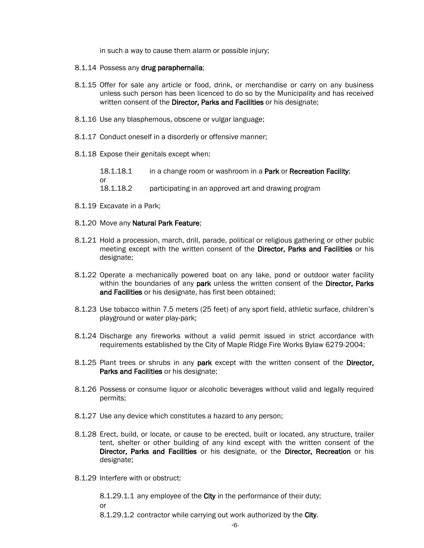in such a way to cause them alarm or possible injury;

- 8.1.14 Possess any drug paraphernalia;
- 8.1.15 Offer for sale any article or food, drink, or merchandise or carry on any business unless such person has been licenced to do so by the Municipality and has received written consent of the Director, Parks and Facilities or his designate;
- 8.1.16 Use any blasphemous, obscene or vulgar language;
- 8.1.17 Conduct oneself in a disorderly or offensive manner;
- 8.1.18 Expose their genitals except when:

18.1.18.1 in a change room or washroom in a Park or Recreation Facility; or 18.1.18.2 participating in an approved art and drawing program

- 8.1.19 Excavate in a Park;
- 8.1.20 Move any Natural Park Feature;
- 8.1.21 Hold a procession, march, drill, parade, political or religious gathering or other public meeting except with the written consent of the Director, Parks and Facilities or his designate;
- 8.1.22 Operate a mechanically powered boat on any lake, pond or outdoor water facility within the boundaries of any park unless the written consent of the Director, Parks and Facilities or his designate, has first been obtained;
- 8.1.23 Use tobacco within 7.5 meters (25 feet) of any sport field, athletic surface, children's playground or water play-park;
- 8.1.24 Discharge any fireworks without a valid permit issued in strict accordance with requirements established by the City of Maple Ridge Fire Works Bylaw 6279-2004;
- 8.1.25 Plant trees or shrubs in any park except with the written consent of the Director, Parks and Facilities or his designate:
- 8.1.26 Possess or consume liquor or alcoholic beverages without valid and legally required permits;
- 8.1.27 Use any device which constitutes a hazard to any person;
- 8.1.28 Erect, build, or locate, or cause to be erected, built or located, any structure, trailer tent, shelter or other building of any kind except with the written consent of the Director, Parks and Facilities or his designate, or the Director, Recreation or his designate;
- 8.1.29 Interfere with or obstruct:

8.1.29.1.1 any employee of the City in the performance of their duty;

or

8.1.29.1.2 contractor while carrying out work authorized by the City.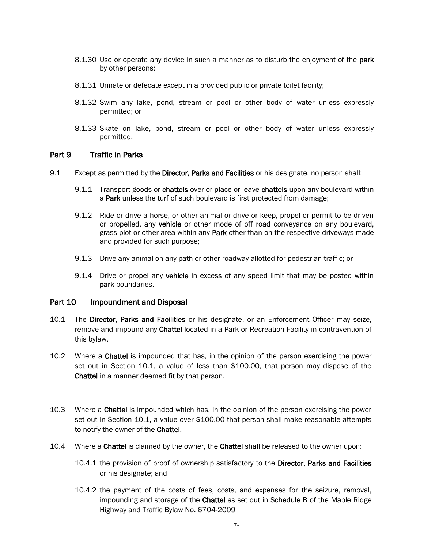- 8.1.30 Use or operate any device in such a manner as to disturb the enjoyment of the **park** by other persons;
- 8.1.31 Urinate or defecate except in a provided public or private toilet facility;
- 8.1.32 Swim any lake, pond, stream or pool or other body of water unless expressly permitted; or
- 8.1.33 Skate on lake, pond, stream or pool or other body of water unless expressly permitted.

## Part 9 Traffic in Parks

- 9.1 Except as permitted by the Director, Parks and Facilities or his designate, no person shall:
	- 9.1.1 Transport goods or chattels over or place or leave chattels upon any boulevard within a Park unless the turf of such boulevard is first protected from damage;
	- 9.1.2 Ride or drive a horse, or other animal or drive or keep, propel or permit to be driven or propelled, any vehicle or other mode of off road conveyance on any boulevard, grass plot or other area within any Park other than on the respective driveways made and provided for such purpose;
	- 9.1.3 Drive any animal on any path or other roadway allotted for pedestrian traffic; or
	- 9.1.4 Drive or propel any vehicle in excess of any speed limit that may be posted within park boundaries.

## Part 10 Impoundment and Disposal

- 10.1 The Director, Parks and Facilities or his designate, or an Enforcement Officer may seize, remove and impound any Chattel located in a Park or Recreation Facility in contravention of this bylaw.
- 10.2 Where a Chattel is impounded that has, in the opinion of the person exercising the power set out in Section 10.1, a value of less than \$100.00, that person may dispose of the Chattel in a manner deemed fit by that person.
- 10.3 Where a Chattel is impounded which has, in the opinion of the person exercising the power set out in Section 10.1, a value over \$100.00 that person shall make reasonable attempts to notify the owner of the Chattel.
- 10.4 Where a Chattel is claimed by the owner, the Chattel shall be released to the owner upon:
	- 10.4.1 the provision of proof of ownership satisfactory to the Director, Parks and Facilities or his designate; and
	- 10.4.2 the payment of the costs of fees, costs, and expenses for the seizure, removal, impounding and storage of the Chattel as set out in Schedule B of the Maple Ridge Highway and Traffic Bylaw No. 6704-2009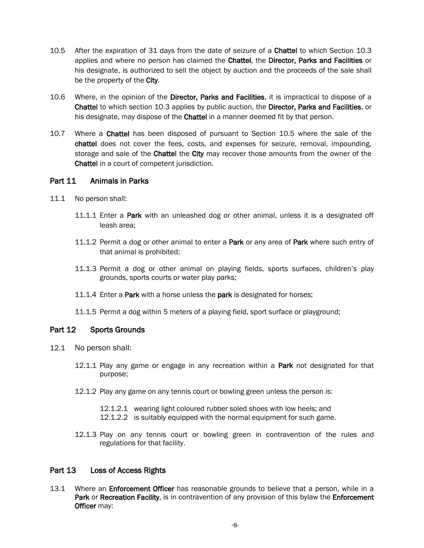- 10.5 After the expiration of 31 days from the date of seizure of a Chattel to which Section 10.3 applies and where no person has claimed the Chattel, the Director, Parks and Facilities or his designate, is authorized to sell the object by auction and the proceeds of the sale shall be the property of the City.
- 10.6 Where, in the opinion of the Director, Parks and Facilities, it is impractical to dispose of a Chattel to which section 10.3 applies by public auction, the Director, Parks and Facilities, or his designate, may dispose of the Chattel in a manner deemed fit by that person.
- 10.7 Where a Chattel has been disposed of pursuant to Section 10.5 where the sale of the chattel does not cover the fees, costs, and expenses for seizure, removal, impounding, storage and sale of the **Chattel** the City may recover those amounts from the owner of the Chattel in a court of competent jurisdiction.

## Part 11 Animals in Parks

- 11.1 No person shall:
	- 11.1.1 Enter a Park with an unleashed dog or other animal, unless it is a designated off leash area;
	- 11.1.2 Permit a dog or other animal to enter a Park or any area of Park where such entry of that animal is prohibited;
	- 11.1.3 Permit a dog or other animal on playing fields, sports surfaces, children's play grounds, sports courts or water play parks;
	- 11.1.4 Enter a Park with a horse unless the park is designated for horses;
	- 11.1.5 Permit a dog within 5 meters of a playing field, sport surface or playground;

## Part 12 Sports Grounds

- 12.1 No person shall:
	- 12.1.1 Play any game or engage in any recreation within a Park not designated for that purpose;
	- 12.1.2 Play any game on any tennis court or bowling green unless the person is:
		- 12.1.2.1 wearing light coloured rubber soled shoes with low heels; and
		- 12.1.2.2 is suitably equipped with the normal equipment for such game.
	- 12.1.3 Play on any tennis court or bowling green in contravention of the rules and regulations for that facility.

## Part 13 Loss of Access Rights

13.1 Where an **Enforcement Officer** has reasonable grounds to believe that a person, while in a Park or Recreation Facility, is in contravention of any provision of this bylaw the Enforcement Officer may: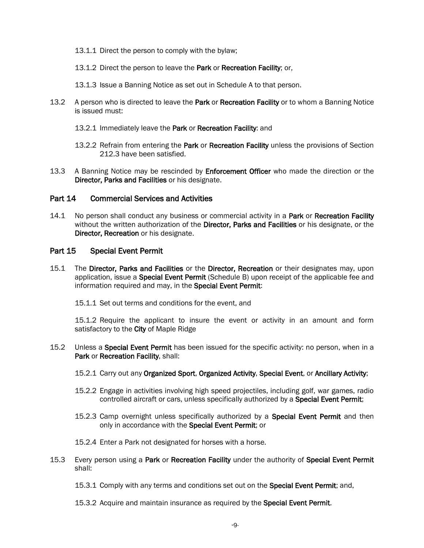- 13.1.1 Direct the person to comply with the bylaw;
- 13.1.2 Direct the person to leave the Park or Recreation Facility; or,
- 13.1.3 Issue a Banning Notice as set out in Schedule A to that person.
- 13.2 A person who is directed to leave the **Park** or **Recreation Facility** or to whom a Banning Notice is issued must:
	- 13.2.1 Immediately leave the Park or Recreation Facility: and
	- 13.2.2 Refrain from entering the Park or Recreation Facility unless the provisions of Section 212.3 have been satisfied.
- 13.3 A Banning Notice may be rescinded by **Enforcement Officer** who made the direction or the Director, Parks and Facilities or his designate.

## Part 14 Commercial Services and Activities

14.1 No person shall conduct any business or commercial activity in a Park or Recreation Facility without the written authorization of the Director, Parks and Facilities or his designate, or the Director, Recreation or his designate.

## Part 15 Special Event Permit

- 15.1 The Director, Parks and Facilities or the Director, Recreation or their designates may, upon application, issue a **Special Event Permit** (Schedule B) upon receipt of the applicable fee and information required and may, in the Special Event Permit:
	- 15.1.1 Set out terms and conditions for the event, and

15.1.2 Require the applicant to insure the event or activity in an amount and form satisfactory to the City of Maple Ridge

- 15.2 Unless a Special Event Permit has been issued for the specific activity: no person, when in a Park or Recreation Facility, shall:
	- 15.2.1 Carry out any Organized Sport, Organized Activity, Special Event, or Ancillary Activity;
	- 15.2.2 Engage in activities involving high speed projectiles, including golf, war games, radio controlled aircraft or cars, unless specifically authorized by a Special Event Permit;
	- 15.2.3 Camp overnight unless specifically authorized by a **Special Event Permit** and then only in accordance with the Special Event Permit; or
	- 15.2.4 Enter a Park not designated for horses with a horse.
- 15.3 Every person using a Park or Recreation Facility under the authority of Special Event Permit shall:
	- 15.3.1 Comply with any terms and conditions set out on the Special Event Permit; and,
	- 15.3.2 Acquire and maintain insurance as required by the Special Event Permit.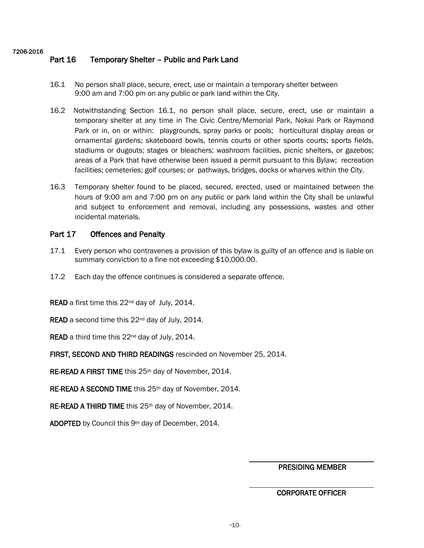#### 7206-2016

## Part 16 Temporary Shelter – Public and Park Land

- 16.1 No person shall place, secure, erect, use or maintain a temporary shelter between 9:00 am and 7:00 pm on any public or park land within the City.
- 16.2 Notwithstanding Section 16.1, no person shall place, secure, erect, use or maintain a temporary shelter at any time in The Civic Centre/Memorial Park, Nokai Park or Raymond Park or in, on or within: playgrounds, spray parks or pools; horticultural display areas or ornamental gardens; skateboard bowls, tennis courts or other sports courts; sports fields, stadiums or dugouts; stages or bleachers; washroom facilities, picnic shelters, or gazebos; areas of a Park that have otherwise been issued a permit pursuant to this Bylaw; recreation facilities; cemeteries; golf courses; or pathways, bridges, docks or wharves within the City.
- 16.3 Temporary shelter found to be placed, secured, erected, used or maintained between the hours of 9:00 am and 7:00 pm on any public or park land within the City shall be unlawful and subject to enforcement and removal, including any possessions, wastes and other incidental materials.

## Part 17 Offences and Penalty

- 17.1 Every person who contravenes a provision of this bylaw is guilty of an offence and is liable on summary conviction to a fine not exceeding \$10,000.00.
- 17.2 Each day the offence continues is considered a separate offence.
- READ a first time this 22<sup>nd</sup> day of July, 2014.
- READ a second time this 22<sup>nd</sup> day of July, 2014.
- READ a third time this 22<sup>nd</sup> day of July, 2014.
- FIRST, SECOND AND THIRD READINGS rescinded on November 25, 2014.
- RE-READ A FIRST TIME this 25<sup>th</sup> day of November, 2014.
- RE-READ A SECOND TIME this 25<sup>th</sup> day of November, 2014.
- RE-READ A THIRD TIME this 25<sup>th</sup> day of November, 2014.

ADOPTED by Council this 9th day of December, 2014.

PRESIDING MEMBER

l

l.

## CORPORATE OFFICER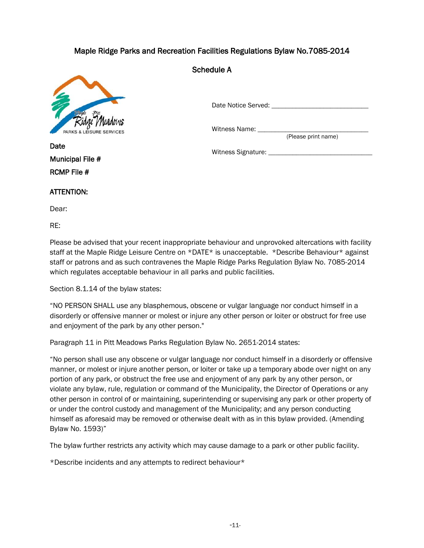## Maple Ridge Parks and Recreation Facilities Regulations Bylaw No.7085-2014



Schedule A

Date Notice Served: **Example 2018** 

Witness Name: \_\_\_\_

(Please print name)

Witness Signature: \_\_\_\_\_\_\_\_\_\_\_\_\_\_\_\_\_\_\_\_\_\_\_\_\_\_\_\_\_\_

Municipal File # RCMP File #

## ATTENTION:

Dear:

**Date** 

RE:

Please be advised that your recent inappropriate behaviour and unprovoked altercations with facility staff at the Maple Ridge Leisure Centre on \*DATE\* is unacceptable. \*Describe Behaviour\* against staff or patrons and as such contravenes the Maple Ridge Parks Regulation Bylaw No. 7085-2014 which regulates acceptable behaviour in all parks and public facilities.

Section 8.1.14 of the bylaw states:

"NO PERSON SHALL use any blasphemous, obscene or vulgar language nor conduct himself in a disorderly or offensive manner or molest or injure any other person or loiter or obstruct for free use and enjoyment of the park by any other person."

Paragraph 11 in Pitt Meadows Parks Regulation Bylaw No. 2651-2014 states:

"No person shall use any obscene or vulgar language nor conduct himself in a disorderly or offensive manner, or molest or injure another person, or loiter or take up a temporary abode over night on any portion of any park, or obstruct the free use and enjoyment of any park by any other person, or violate any bylaw, rule, regulation or command of the Municipality, the Director of Operations or any other person in control of or maintaining, superintending or supervising any park or other property of or under the control custody and management of the Municipality; and any person conducting himself as aforesaid may be removed or otherwise dealt with as in this bylaw provided. (Amending Bylaw No. 1593)"

The bylaw further restricts any activity which may cause damage to a park or other public facility.

\*Describe incidents and any attempts to redirect behaviour\*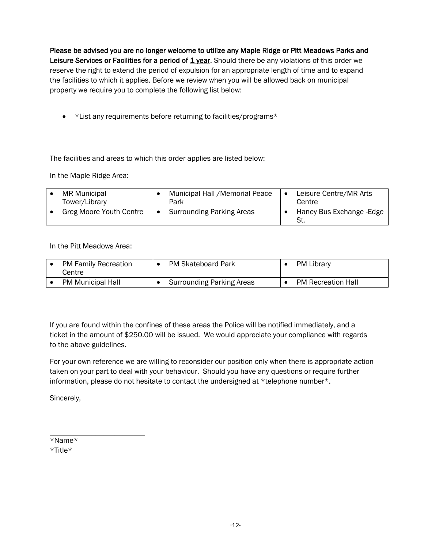Please be advised you are no longer welcome to utilize any Maple Ridge or Pitt Meadows Parks and Leisure Services or Facilities for a period of  $1$  year. Should there be any violations of this order we reserve the right to extend the period of expulsion for an appropriate length of time and to expand the facilities to which it applies. Before we review when you will be allowed back on municipal property we require you to complete the following list below:

• \*List any requirements before returning to facilities/programs\*

The facilities and areas to which this order applies are listed below:

In the Maple Ridge Area:

| <b>MR Municipal</b><br>Tower/Library | Municipal Hall / Memorial Peace<br>Park | Leisure Centre/MR Arts<br>Centre |
|--------------------------------------|-----------------------------------------|----------------------------------|
| <b>Greg Moore Youth Centre</b>       | <b>Surrounding Parking Areas</b>        | Haney Bus Exchange - Edge        |

In the Pitt Meadows Area:

| <b>PM Family Recreation</b><br>Centre | <b>PM Skateboard Park</b>        | PM Library                |
|---------------------------------------|----------------------------------|---------------------------|
| <b>PM Municipal Hall</b>              | <b>Surrounding Parking Areas</b> | <b>PM Recreation Hall</b> |

If you are found within the confines of these areas the Police will be notified immediately, and a ticket in the amount of \$250.00 will be issued. We would appreciate your compliance with regards to the above guidelines.

For your own reference we are willing to reconsider our position only when there is appropriate action taken on your part to deal with your behaviour. Should you have any questions or require further information, please do not hesitate to contact the undersigned at \*telephone number\*.

Sincerely,

\_\_\_\_\_\_\_\_\_\_\_\_\_\_\_\_\_\_\_\_\_\_\_\_\_ \*Name\*

\*Title\*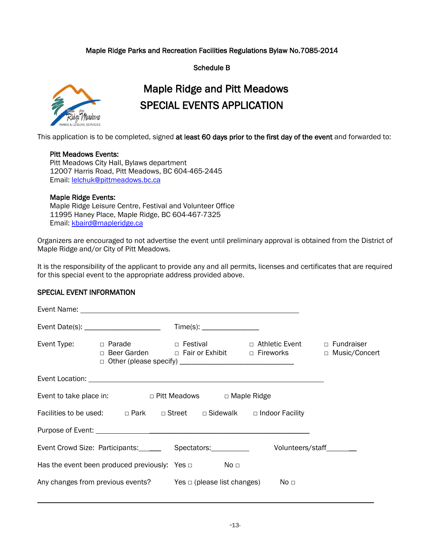## Maple Ridge Parks and Recreation Facilities Regulations Bylaw No.7085-2014

Schedule B



## Maple Ridge and Pitt Meadows SPECIAL EVENTS APPLICATION

This application is to be completed, signed at least 60 days prior to the first day of the event and forwarded to:

## Pitt Meadows Events:

Pitt Meadows City Hall, Bylaws department 12007 Harris Road, Pitt Meadows, BC 604-465-2445 Email: [lelchuk@pittmeadows.bc.ca](mailto:lelchuk@pittmeadows.bc.ca)

## Maple Ridge Events:

Maple Ridge Leisure Centre, Festival and Volunteer Office 11995 Haney Place, Maple Ridge, BC 604-467-7325 Email: [kbaird@mapleridge.ca](mailto:kbaird@mapleridge.ca)

Organizers are encouraged to not advertise the event until preliminary approval is obtained from the District of Maple Ridge and/or City of Pitt Meadows.

It is the responsibility of the applicant to provide any and all permits, licenses and certificates that are required for this special event to the appropriate address provided above.

## SPECIAL EVENT INFORMATION

|  |                                                                              | □ Beer Garden □ Fair or Exhibit □ Fireworks                                                         | □ Music/Concert |
|--|------------------------------------------------------------------------------|-----------------------------------------------------------------------------------------------------|-----------------|
|  |                                                                              |                                                                                                     |                 |
|  | Event to take place in: $\Box$ Pitt Meadows $\Box$ Maple Ridge               |                                                                                                     |                 |
|  |                                                                              | Facilities to be used: $\square$ Park $\square$ Street $\square$ Sidewalk $\square$ Indoor Facility |                 |
|  |                                                                              |                                                                                                     |                 |
|  |                                                                              |                                                                                                     |                 |
|  | Has the event been produced previously: Yes $\Box$ No $\Box$                 |                                                                                                     |                 |
|  | Any changes from previous events? Yes $\Box$ (please list changes) No $\Box$ |                                                                                                     |                 |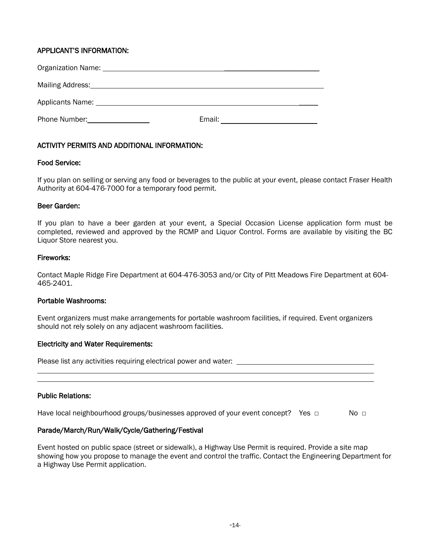## APPLICANT'S INFORMATION:

| Organization Name: Name: Name and Allen Manual Allen Manual Allen Manual Allen Manual Allen Manual Allen Manua                                                                                                                      |        |
|-------------------------------------------------------------------------------------------------------------------------------------------------------------------------------------------------------------------------------------|--------|
| Mailing Address: Mailing Address: Mailing Address: Mailing Address: Mail 1999                                                                                                                                                       |        |
| Applicants Name: 1990 and 200 and 200 and 200 and 200 and 200 and 200 and 200 and 200 and 200 and 200 and 200                                                                                                                       |        |
| <b>Phone Number:</b> The Manuson of the Manuson of the Manuson of the Manuson of the Manuson of the Manuson of the Manuson of the Manuson of the Manuson of the Manuson of the Manuson of the Manuson of the Manuson of the Manuson | Email: |

## ACTIVITY PERMITS AND ADDITIONAL INFORMATION:

## Food Service:

If you plan on selling or serving any food or beverages to the public at your event, please contact Fraser Health Authority at 604-476-7000 for a temporary food permit.

## Beer Garden:

If you plan to have a beer garden at your event, a Special Occasion License application form must be completed, reviewed and approved by the RCMP and Liquor Control. Forms are available by visiting the BC Liquor Store nearest you.

## Fireworks:

Contact Maple Ridge Fire Department at 604-476-3053 and/or City of Pitt Meadows Fire Department at 604- 465-2401.

#### Portable Washrooms:

Event organizers must make arrangements for portable washroom facilities, if required. Event organizers should not rely solely on any adjacent washroom facilities.

## Electricity and Water Requirements:

Please list any activities requiring electrical power and water: l

## Public Relations:

Have local neighbourhood groups/businesses approved of your event concept? Yes  $\Box$  No  $\Box$ 

## Parade/March/Run/Walk/Cycle/Gathering/Festival

Event hosted on public space (street or sidewalk), a Highway Use Permit is required. Provide a site map showing how you propose to manage the event and control the traffic. Contact the Engineering Department for a Highway Use Permit application.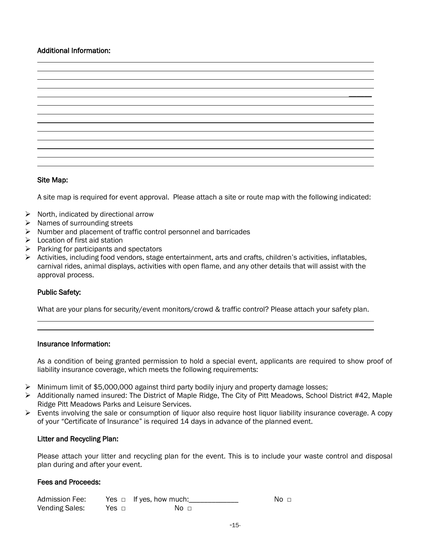## Additional Information:



## Site Map:

A site map is required for event approval. Please attach a site or route map with the following indicated:

- $\triangleright$  North, indicated by directional arrow
- $\triangleright$  Names of surrounding streets
- $\triangleright$  Number and placement of traffic control personnel and barricades
- $\blacktriangleright$  Location of first aid station
- Parking for participants and spectators
- Activities, including food vendors, stage entertainment, arts and crafts, children's activities, inflatables, carnival rides, animal displays, activities with open flame, and any other details that will assist with the approval process.

## Public Safety:

l

What are your plans for security/event monitors/crowd & traffic control? Please attach your safety plan.

## Insurance Information:

As a condition of being granted permission to hold a special event, applicants are required to show proof of liability insurance coverage, which meets the following requirements:

- $\triangleright$  Minimum limit of \$5,000,000 against third party bodily injury and property damage losses;
- ▶ Additionally named insured: The District of Maple Ridge, The City of Pitt Meadows, School District #42, Maple Ridge Pitt Meadows Parks and Leisure Services.
- $\triangleright$  Events involving the sale or consumption of liquor also require host liquor liability insurance coverage. A copy of your "Certificate of Insurance" is required 14 days in advance of the planned event.

## Litter and Recycling Plan:

Please attach your litter and recycling plan for the event. This is to include your waste control and disposal plan during and after your event.

#### Fees and Proceeds:

| Admission Fee: |       | Yes $\Box$ If yes, how much: | No ⊓ |
|----------------|-------|------------------------------|------|
| Vending Sales: | Yes □ | No n                         |      |